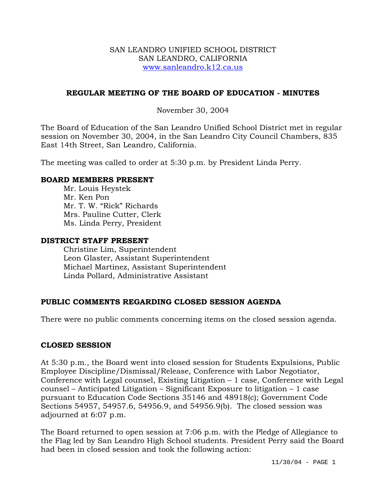#### SAN LEANDRO UNIFIED SCHOOL DISTRICT SAN LEANDRO, CALIFORNIA www.sanleandro.k12.ca.us

## **REGULAR MEETING OF THE BOARD OF EDUCATION - MINUTES**

## November 30, 2004

The Board of Education of the San Leandro Unified School District met in regular session on November 30, 2004, in the San Leandro City Council Chambers, 835 East 14th Street, San Leandro, California.

The meeting was called to order at 5:30 p.m. by President Linda Perry.

### **BOARD MEMBERS PRESENT**

Mr. Louis Heystek Mr. Ken Pon Mr. T. W. "Rick" Richards Mrs. Pauline Cutter, Clerk Ms. Linda Perry, President

#### **DISTRICT STAFF PRESENT**

Christine Lim, Superintendent Leon Glaster, Assistant Superintendent Michael Martinez, Assistant Superintendent Linda Pollard, Administrative Assistant

## **PUBLIC COMMENTS REGARDING CLOSED SESSION AGENDA**

There were no public comments concerning items on the closed session agenda.

## **CLOSED SESSION**

At 5:30 p.m., the Board went into closed session for Students Expulsions, Public Employee Discipline/Dismissal/Release, Conference with Labor Negotiator, Conference with Legal counsel, Existing Litigation – 1 case, Conference with Legal counsel – Anticipated Litigation – Significant Exposure to litigation – 1 case pursuant to Education Code Sections 35146 and 48918(c); Government Code Sections 54957, 54957.6, 54956.9, and 54956.9(b). The closed session was adjourned at 6:07 p.m.

The Board returned to open session at 7:06 p.m. with the Pledge of Allegiance to the Flag led by San Leandro High School students. President Perry said the Board had been in closed session and took the following action: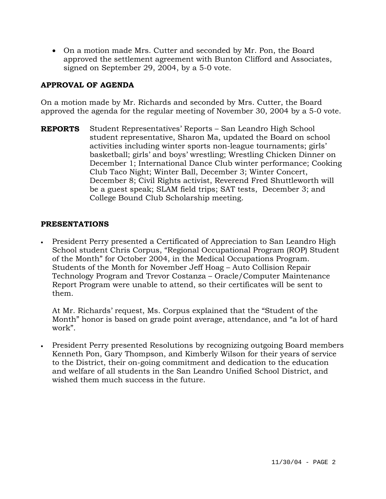• On a motion made Mrs. Cutter and seconded by Mr. Pon, the Board approved the settlement agreement with Bunton Clifford and Associates, signed on September 29, 2004, by a 5-0 vote.

# **APPROVAL OF AGENDA**

On a motion made by Mr. Richards and seconded by Mrs. Cutter, the Board approved the agenda for the regular meeting of November 30, 2004 by a 5-0 vote.

**REPORTS** Student Representatives' Reports – San Leandro High School student representative, Sharon Ma, updated the Board on school activities including winter sports non-league tournaments; girls' basketball; girls' and boys' wrestling; Wrestling Chicken Dinner on December 1; International Dance Club winter performance; Cooking Club Taco Night; Winter Ball, December 3; Winter Concert, December 8; Civil Rights activist, Reverend Fred Shuttleworth will be a guest speak; SLAM field trips; SAT tests, December 3; and College Bound Club Scholarship meeting.

## **PRESENTATIONS**

• President Perry presented a Certificated of Appreciation to San Leandro High School student Chris Corpus, "Regional Occupational Program (ROP) Student of the Month" for October 2004, in the Medical Occupations Program. Students of the Month for November Jeff Hoag – Auto Collision Repair Technology Program and Trevor Costanza – Oracle/Computer Maintenance Report Program were unable to attend, so their certificates will be sent to them.

At Mr. Richards' request, Ms. Corpus explained that the "Student of the Month" honor is based on grade point average, attendance, and "a lot of hard work".

• President Perry presented Resolutions by recognizing outgoing Board members Kenneth Pon, Gary Thompson, and Kimberly Wilson for their years of service to the District, their on-going commitment and dedication to the education and welfare of all students in the San Leandro Unified School District, and wished them much success in the future.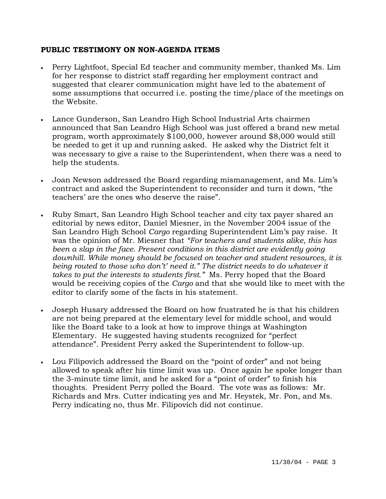## **PUBLIC TESTIMONY ON NON-AGENDA ITEMS**

- Perry Lightfoot, Special Ed teacher and community member, thanked Ms. Lim for her response to district staff regarding her employment contract and suggested that clearer communication might have led to the abatement of some assumptions that occurred i.e. posting the time/place of the meetings on the Website.
- Lance Gunderson, San Leandro High School Industrial Arts chairmen announced that San Leandro High School was just offered a brand new metal program, worth approximately \$100,000, however around \$8,000 would still be needed to get it up and running asked. He asked why the District felt it was necessary to give a raise to the Superintendent, when there was a need to help the students.
- Joan Newson addressed the Board regarding mismanagement, and Ms. Lim's contract and asked the Superintendent to reconsider and turn it down, "the teachers' are the ones who deserve the raise".
- Ruby Smart, San Leandro High School teacher and city tax payer shared an editorial by news editor, Daniel Miesner, in the November 2004 issue of the San Leandro High School *Cargo* regarding Superintendent Lim's pay raise. It was the opinion of Mr. Miesner that *"For teachers and students alike, this has been a slap in the face. Present conditions in this district are evidently going downhill. While money should be focused on teacher and student resources, it is being routed to those who don't' need it." The district needs to do whatever it takes to put the interests to students first."* Ms. Perry hoped that the Board would be receiving copies of the *Cargo* and that she would like to meet with the editor to clarify some of the facts in his statement.
- Joseph Husary addressed the Board on how frustrated he is that his children are not being prepared at the elementary level for middle school, and would like the Board take to a look at how to improve things at Washington Elementary. He suggested having students recognized for "perfect attendance". President Perry asked the Superintendent to follow-up.
- Lou Filipovich addressed the Board on the "point of order" and not being allowed to speak after his time limit was up. Once again he spoke longer than the 3-minute time limit, and he asked for a "point of order" to finish his thoughts. President Perry polled the Board. The vote was as follows: Mr. Richards and Mrs. Cutter indicating yes and Mr. Heystek, Mr. Pon, and Ms. Perry indicating no, thus Mr. Filipovich did not continue.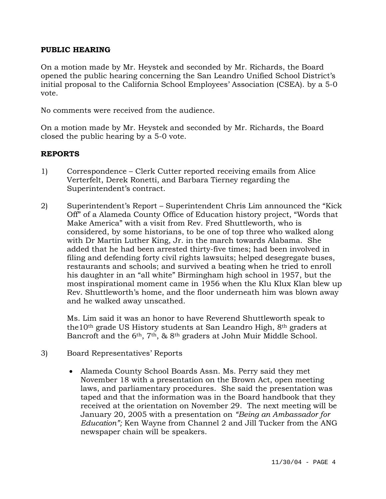### **PUBLIC HEARING**

On a motion made by Mr. Heystek and seconded by Mr. Richards, the Board opened the public hearing concerning the San Leandro Unified School District's initial proposal to the California School Employees' Association (CSEA). by a 5-0 vote.

No comments were received from the audience.

On a motion made by Mr. Heystek and seconded by Mr. Richards, the Board closed the public hearing by a 5-0 vote.

### **REPORTS**

- 1) Correspondence Clerk Cutter reported receiving emails from Alice Verterfelt, Derek Ronetti, and Barbara Tierney regarding the Superintendent's contract.
- 2) Superintendent's Report Superintendent Chris Lim announced the "Kick Off" of a Alameda County Office of Education history project, "Words that Make America" with a visit from Rev. Fred Shuttleworth, who is considered, by some historians, to be one of top three who walked along with Dr Martin Luther King, Jr. in the march towards Alabama. She added that he had been arrested thirty-five times; had been involved in filing and defending forty civil rights lawsuits; helped desegregate buses, restaurants and schools; and survived a beating when he tried to enroll his daughter in an "all white" Birmingham high school in 1957, but the most inspirational moment came in 1956 when the Klu Klux Klan blew up Rev. Shuttleworth's home, and the floor underneath him was blown away and he walked away unscathed.

Ms. Lim said it was an honor to have Reverend Shuttleworth speak to the10th grade US History students at San Leandro High, 8th graders at Bancroft and the 6th, 7th, & 8th graders at John Muir Middle School.

- 3) Board Representatives' Reports
	- Alameda County School Boards Assn. Ms. Perry said they met November 18 with a presentation on the Brown Act, open meeting laws, and parliamentary procedures. She said the presentation was taped and that the information was in the Board handbook that they received at the orientation on November 29. The next meeting will be January 20, 2005 with a presentation on *"Being an Ambassador for Education";* Ken Wayne from Channel 2 and Jill Tucker from the ANG newspaper chain will be speakers.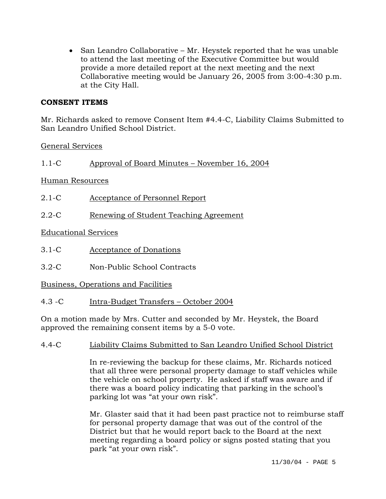• San Leandro Collaborative – Mr. Heystek reported that he was unable to attend the last meeting of the Executive Committee but would provide a more detailed report at the next meeting and the next Collaborative meeting would be January 26, 2005 from 3:00-4:30 p.m. at the City Hall.

## **CONSENT ITEMS**

Mr. Richards asked to remove Consent Item #4.4-C, Liability Claims Submitted to San Leandro Unified School District.

General Services

1.1-C Approval of Board Minutes – November 16, 2004

Human Resources

- 2.1-C Acceptance of Personnel Report
- 2.2-C Renewing of Student Teaching Agreement

Educational Services

- 3.1-C Acceptance of Donations
- 3.2-C Non-Public School Contracts

Business, Operations and Facilities

4.3 -C Intra-Budget Transfers – October 2004

On a motion made by Mrs. Cutter and seconded by Mr. Heystek, the Board approved the remaining consent items by a 5-0 vote.

## 4.4-C Liability Claims Submitted to San Leandro Unified School District

In re-reviewing the backup for these claims, Mr. Richards noticed that all three were personal property damage to staff vehicles while the vehicle on school property. He asked if staff was aware and if there was a board policy indicating that parking in the school's parking lot was "at your own risk".

Mr. Glaster said that it had been past practice not to reimburse staff for personal property damage that was out of the control of the District but that he would report back to the Board at the next meeting regarding a board policy or signs posted stating that you park "at your own risk".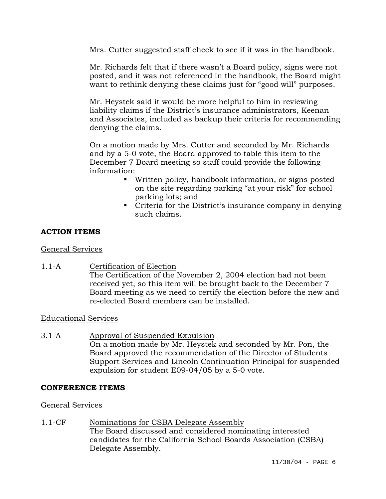Mrs. Cutter suggested staff check to see if it was in the handbook.

Mr. Richards felt that if there wasn't a Board policy, signs were not posted, and it was not referenced in the handbook, the Board might want to rethink denying these claims just for "good will" purposes.

Mr. Heystek said it would be more helpful to him in reviewing liability claims if the District's insurance administrators, Keenan and Associates, included as backup their criteria for recommending denying the claims.

On a motion made by Mrs. Cutter and seconded by Mr. Richards and by a 5-0 vote, the Board approved to table this item to the December 7 Board meeting so staff could provide the following information:

- Written policy, handbook information, or signs posted on the site regarding parking "at your risk" for school parking lots; and
- Criteria for the District's insurance company in denying such claims.

# **ACTION ITEMS**

# General Services

1.1-A Certification of Election The Certification of the November 2, 2004 election had not been received yet, so this item will be brought back to the December 7 Board meeting as we need to certify the election before the new and re-elected Board members can be installed.

# Educational Services

3.1-A Approval of Suspended Expulsion On a motion made by Mr. Heystek and seconded by Mr. Pon, the Board approved the recommendation of the Director of Students Support Services and Lincoln Continuation Principal for suspended expulsion for student E09-04/05 by a 5-0 vote.

## **CONFERENCE ITEMS**

# General Services

1.1-CF Nominations for CSBA Delegate Assembly The Board discussed and considered nominating interested candidates for the California School Boards Association (CSBA) Delegate Assembly.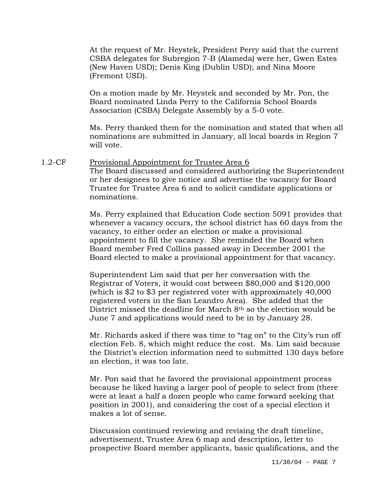At the request of Mr. Heystek, President Perry said that the current CSBA delegates for Subregion 7-B (Alameda) were her, Gwen Estes (New Haven USD); Denis King (Dublin USD); and Nina Moore (Fremont USD).

On a motion made by Mr. Heystek and seconded by Mr. Pon, the Board nominated Linda Perry to the California School Boards Association (CSBA) Delegate Assembly by a 5-0 vote.

Ms. Perry thanked them for the nomination and stated that when all nominations are submitted in January, all local boards in Region 7 will vote.

1.2-CF Provisional Appointment for Trustee Area 6 The Board discussed and considered authorizing the Superintendent or her designees to give notice and advertise the vacancy for Board Trustee for Trustee Area 6 and to solicit candidate applications or nominations.

> Ms. Perry explained that Education Code section 5091 provides that whenever a vacancy occurs, the school district has 60 days from the vacancy, to either order an election or make a provisional appointment to fill the vacancy. She reminded the Board when Board member Fred Collins passed away in December 2001 the Board elected to make a provisional appointment for that vacancy.

Superintendent Lim said that per her conversation with the Registrar of Voters, it would cost between \$80,000 and \$120,000 (which is \$2 to \$3 per registered voter with approximately 40,000 registered voters in the San Leandro Area). She added that the District missed the deadline for March 8th so the election would be June 7 and applications would need to be in by January 28.

Mr. Richards asked if there was time to "tag on" to the City's run off election Feb. 8, which might reduce the cost. Ms. Lim said because the District's election information need to submitted 130 days before an election, it was too late.

Mr. Pon said that he favored the provisional appointment process because he liked having a larger pool of people to select from (there were at least a half a dozen people who came forward seeking that position in 2001), and considering the cost of a special election it makes a lot of sense.

Discussion continued reviewing and revising the draft timeline, advertisement, Trustee Area 6 map and description, letter to prospective Board member applicants, basic qualifications, and the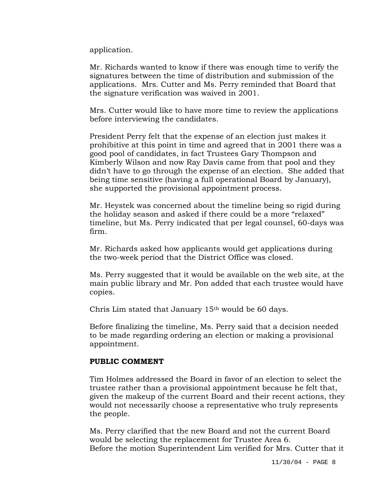application.

Mr. Richards wanted to know if there was enough time to verify the signatures between the time of distribution and submission of the applications. Mrs. Cutter and Ms. Perry reminded that Board that the signature verification was waived in 2001.

Mrs. Cutter would like to have more time to review the applications before interviewing the candidates.

President Perry felt that the expense of an election just makes it prohibitive at this point in time and agreed that in 2001 there was a good pool of candidates, in fact Trustees Gary Thompson and Kimberly Wilson and now Ray Davis came from that pool and they didn't have to go through the expense of an election. She added that being time sensitive (having a full operational Board by January), she supported the provisional appointment process.

Mr. Heystek was concerned about the timeline being so rigid during the holiday season and asked if there could be a more "relaxed" timeline, but Ms. Perry indicated that per legal counsel, 60-days was firm.

Mr. Richards asked how applicants would get applications during the two-week period that the District Office was closed.

Ms. Perry suggested that it would be available on the web site, at the main public library and Mr. Pon added that each trustee would have copies.

Chris Lim stated that January 15th would be 60 days.

Before finalizing the timeline, Ms. Perry said that a decision needed to be made regarding ordering an election or making a provisional appointment.

#### **PUBLIC COMMENT**

Tim Holmes addressed the Board in favor of an election to select the trustee rather than a provisional appointment because he felt that, given the makeup of the current Board and their recent actions, they would not necessarily choose a representative who truly represents the people.

Ms. Perry clarified that the new Board and not the current Board would be selecting the replacement for Trustee Area 6. Before the motion Superintendent Lim verified for Mrs. Cutter that it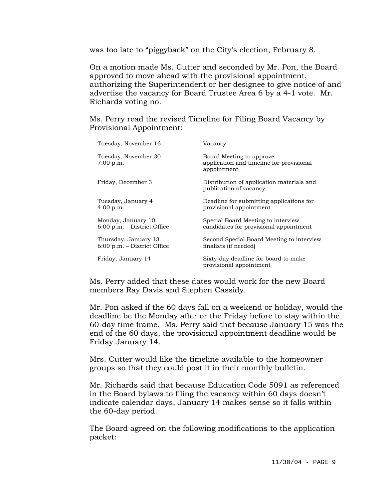was too late to "piggyback" on the City's election, February 8.

On a motion made Ms. Cutter and seconded by Mr. Pon, the Board approved to move ahead with the provisional appointment, authorizing the Superintendent or her designee to give notice of and advertise the vacancy for Board Trustee Area 6 by a 4-1 vote. Mr. Richards voting no.

Ms. Perry read the revised Timeline for Filing Board Vacancy by Provisional Appointment:

| Tuesday, November 16                                  | Vacancv                                                                             |
|-------------------------------------------------------|-------------------------------------------------------------------------------------|
| Tuesday, November 30<br>$7:00$ p.m.                   | Board Meeting to approve<br>application and timeline for provisional<br>appointment |
| Friday, December 3                                    | Distribution of application materials and<br>publication of vacancy                 |
| Tuesday, January 4<br>$4:00$ p.m.                     | Deadline for submitting applications for<br>provisional appointment                 |
| Monday, January 10<br>$6:00$ p.m. – District Office   | Special Board Meeting to interview<br>candidates for provisional appointment        |
| Thursday, January 13<br>$6:00$ p.m. – District Office | Second Special Board Meeting to interview<br>finalists (if needed)                  |
| Friday, January 14                                    | Sixty-day deadline for board to make<br>provisional appointment                     |

Ms. Perry added that these dates would work for the new Board members Ray Davis and Stephen Cassidy.

Mr. Pon asked if the 60 days fall on a weekend or holiday, would the deadline be the Monday after or the Friday before to stay within the 60-day time frame. Ms. Perry said that because January 15 was the end of the 60 days, the provisional appointment deadline would be Friday January 14.

Mrs. Cutter would like the timeline available to the homeowner groups so that they could post it in their monthly bulletin.

Mr. Richards said that because Education Code 5091 as referenced in the Board bylaws to filing the vacancy within 60 days doesn't indicate calendar days, January 14 makes sense so it falls within the 60-day period.

The Board agreed on the following modifications to the application packet: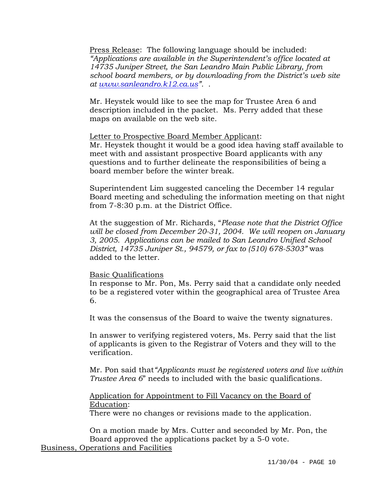Press Release: The following language should be included: *"Applications are available in the Superintendent's office located at 14735 Juniper Street, the San Leandro Main Public Library, from school board members, or by downloading from the District's web site at www.sanleandro.k12.ca.us".* .

Mr. Heystek would like to see the map for Trustee Area 6 and description included in the packet. Ms. Perry added that these maps on available on the web site.

#### Letter to Prospective Board Member Applicant:

Mr. Heystek thought it would be a good idea having staff available to meet with and assistant prospective Board applicants with any questions and to further delineate the responsibilities of being a board member before the winter break.

Superintendent Lim suggested canceling the December 14 regular Board meeting and scheduling the information meeting on that night from 7-8:30 p.m. at the District Office.

At the suggestion of Mr. Richards, "*Please note that the District Office will be closed from December 20-31, 2004. We will reopen on January 3, 2005. Applications can be mailed to San Leandro Unified School District, 14735 Juniper St., 94579, or fax to (510) 678-5303"* was added to the letter.

#### Basic Qualifications

In response to Mr. Pon, Ms. Perry said that a candidate only needed to be a registered voter within the geographical area of Trustee Area 6.

It was the consensus of the Board to waive the twenty signatures.

In answer to verifying registered voters, Ms. Perry said that the list of applicants is given to the Registrar of Voters and they will to the verification.

Mr. Pon said that*"Applicants must be registered voters and live within Trustee Area 6*" needs to included with the basic qualifications.

Application for Appointment to Fill Vacancy on the Board of Education:

There were no changes or revisions made to the application.

On a motion made by Mrs. Cutter and seconded by Mr. Pon, the Board approved the applications packet by a 5-0 vote. Business, Operations and Facilities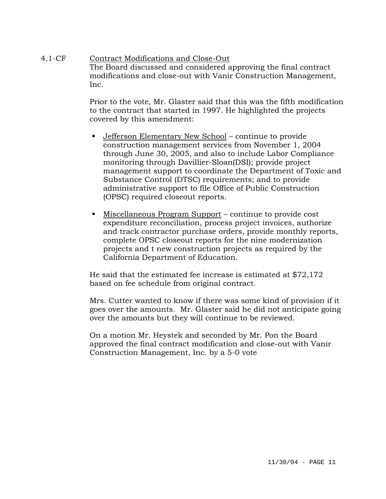## 4.1-CF Contract Modifications and Close-Out The Board discussed and considered approving the final contract modifications and close-out with Vanir Construction Management, Inc.

Prior to the vote, Mr. Glaster said that this was the fifth modification to the contract that started in 1997. He highlighted the projects covered by this amendment:

- Jefferson Elementary New School continue to provide construction management services from November 1, 2004 through June 30, 2005, and also to include Labor Compliance monitoring through Davillier-Sloan(DSI); provide project management support to coordinate the Department of Toxic and Substance Control (DTSC) requirements; and to provide administrative support to file Office of Public Construction (OPSC) required closeout reports.
- Miscellaneous Program Support continue to provide cost expenditure reconciliation, process project invoices, authorize and track contractor purchase orders, provide monthly reports, complete OPSC closeout reports for the nine modernization projects and t new construction projects as required by the California Department of Education.

He said that the estimated fee increase is estimated at \$72,172 based on fee schedule from original contract.

Mrs. Cutter wanted to know if there was some kind of provision if it goes over the amounts. Mr. Glaster said he did not anticipate going over the amounts but they will continue to be reviewed.

On a motion Mr. Heystek and seconded by Mr. Pon the Board approved the final contract modification and close-out with Vanir Construction Management, Inc. by a 5-0 vote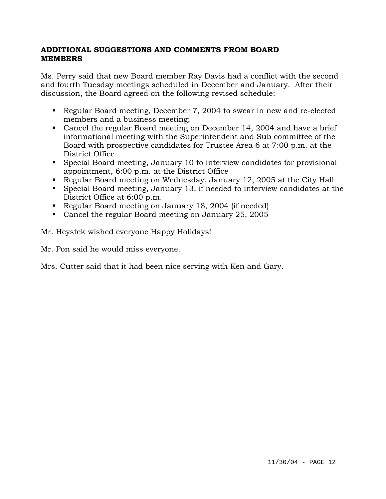# **ADDITIONAL SUGGESTIONS AND COMMENTS FROM BOARD MEMBERS**

Ms. Perry said that new Board member Ray Davis had a conflict with the second and fourth Tuesday meetings scheduled in December and January. After their discussion, the Board agreed on the following revised schedule:

- Regular Board meeting, December 7, 2004 to swear in new and re-elected members and a business meeting;
- Cancel the regular Board meeting on December 14, 2004 and have a brief informational meeting with the Superintendent and Sub committee of the Board with prospective candidates for Trustee Area 6 at 7:00 p.m. at the District Office
- Special Board meeting, January 10 to interview candidates for provisional appointment, 6:00 p.m. at the District Office
- Regular Board meeting on Wednesday, January 12, 2005 at the City Hall
- Special Board meeting, January 13, if needed to interview candidates at the District Office at 6:00 p.m.
- Regular Board meeting on January 18, 2004 (if needed)
- Cancel the regular Board meeting on January 25, 2005

Mr. Heystek wished everyone Happy Holidays!

Mr. Pon said he would miss everyone.

Mrs. Cutter said that it had been nice serving with Ken and Gary.